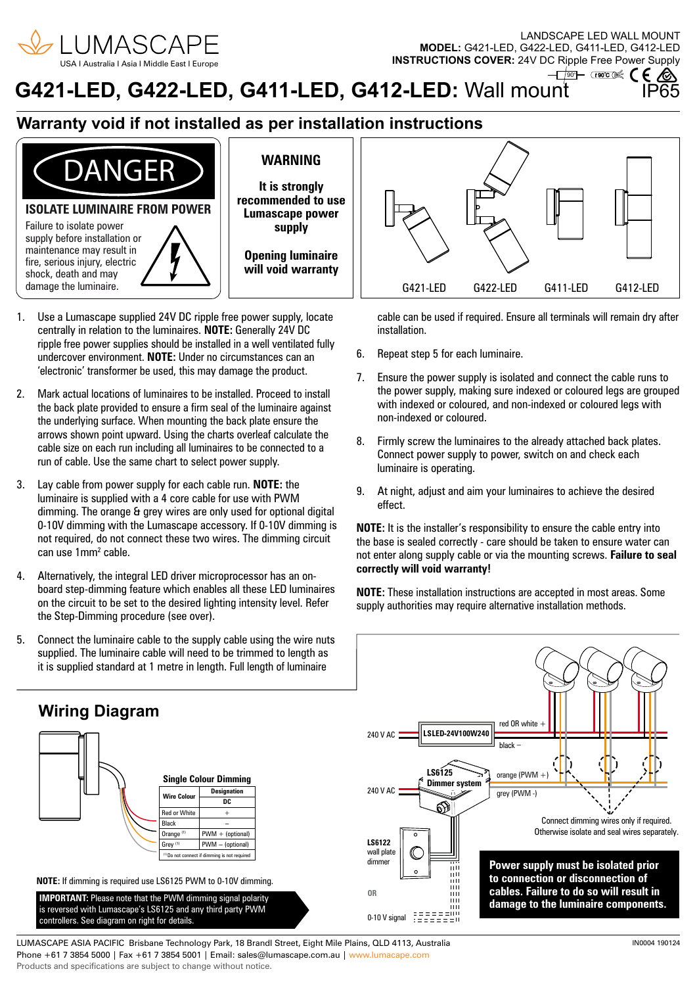

LANDSCAPE LED WALL MOUNT **MODEL:** G421-LED, G422-LED, G411-LED, G412-LED **INSTRUCTIONS COVER:** 24V DC Ripple Free Power Supply

### **G421-LED, G422-LED, G411-LED, G412-LED: Wall mount**  $-\sqrt{100}$   $\rightarrow$   $\sqrt{100}$   $\leq$   $\leq$   $\leq$   $\leq$

## **Warranty void if not installed as per installation instructions**



## **WARNING**

**It is strongly recommended to use Lumascape power supply**

**Opening luminaire will void warranty**

- 1. Use a Lumascape supplied 24V DC ripple free power supply, locate centrally in relation to the luminaires. **NOTE:** Generally 24V DC ripple free power supplies should be installed in a well ventilated fully undercover environment. **NOTE:** Under no circumstances can an 'electronic' transformer be used, this may damage the product.
- 2. Mark actual locations of luminaires to be installed. Proceed to install the back plate provided to ensure a firm seal of the luminaire against the underlying surface. When mounting the back plate ensure the arrows shown point upward. Using the charts overleaf calculate the cable size on each run including all luminaires to be connected to a run of cable. Use the same chart to select power supply.
- 3. Lay cable from power supply for each cable run. **NOTE:** the luminaire is supplied with a 4 core cable for use with PWM dimming. The orange & grey wires are only used for optional digital 0-10V dimming with the Lumascape accessory. If 0-10V dimming is not required, do not connect these two wires. The dimming circuit can use 1mm2 cable.
- 4. Alternatively, the integral LED driver microprocessor has an onboard step-dimming feature which enables all these LED luminaires on the circuit to be set to the desired lighting intensity level. Refer the Step-Dimming procedure (see over).
- 5. Connect the luminaire cable to the supply cable using the wire nuts supplied. The luminaire cable will need to be trimmed to length as it is supplied standard at 1 metre in length. Full length of luminaire



cable can be used if required. Ensure all terminals will remain dry after installation.

- 6. Repeat step 5 for each luminaire.
- 7. Ensure the power supply is isolated and connect the cable runs to the power supply, making sure indexed or coloured legs are grouped with indexed or coloured, and non-indexed or coloured legs with non-indexed or coloured.
- 8. Firmly screw the luminaires to the already attached back plates. Connect power supply to power, switch on and check each luminaire is operating.
- 9. At night, adjust and aim your luminaires to achieve the desired effect.

**NOTE:** It is the installer's responsibility to ensure the cable entry into the base is sealed correctly - care should be taken to ensure water can not enter along supply cable or via the mounting screws. **Failure to seal correctly will void warranty!** 

**NOTE:** These installation instructions are accepted in most areas. Some supply authorities may require alternative installation methods.



LUMASCAPE ASIA PACIFIC Brisbane Technology Park, 18 Brandl Street, Eight Mile Plains, QLD 4113, Australia Phone +61 7 3854 5000 | Fax +61 7 3854 5001 | Email: sales@lumascape.com.au | www.lumacape.com Products and specifications are subject to change without notice.